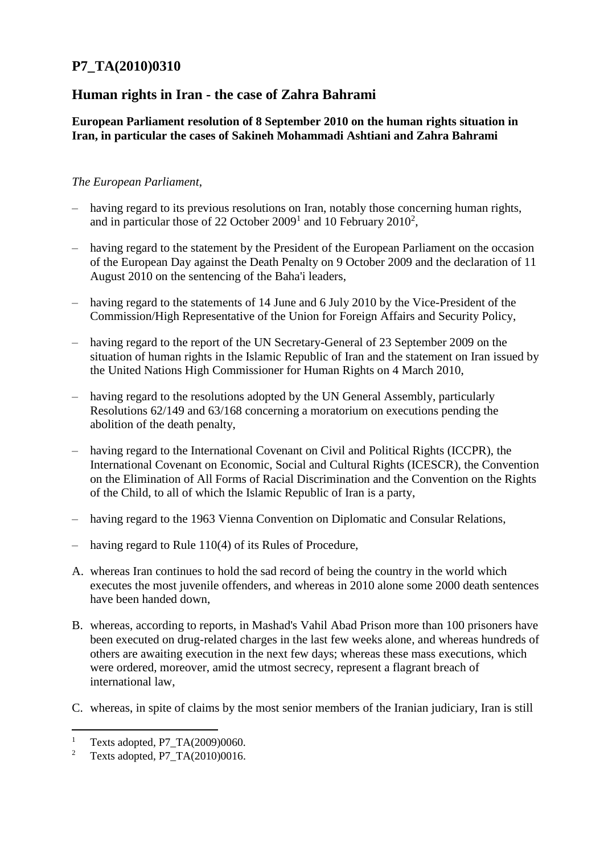## **P7\_TA(2010)0310**

## **Human rights in Iran - the case of Zahra Bahrami**

## **European Parliament resolution of 8 September 2010 on the human rights situation in Iran, in particular the cases of Sakineh Mohammadi Ashtiani and Zahra Bahrami**

## *The European Parliament*,

- having regard to its previous resolutions on Iran, notably those concerning human rights, and in particular those of 22 October 2009<sup>1</sup> and 10 February 2010<sup>2</sup>,
- having regard to the statement by the President of the European Parliament on the occasion of the European Day against the Death Penalty on 9 October 2009 and the declaration of 11 August 2010 on the sentencing of the Baha'i leaders,
- having regard to the statements of 14 June and 6 July 2010 by the Vice-President of the Commission/High Representative of the Union for Foreign Affairs and Security Policy,
- having regard to the report of the UN Secretary-General of 23 September 2009 on the situation of human rights in the Islamic Republic of Iran and the statement on Iran issued by the United Nations High Commissioner for Human Rights on 4 March 2010,
- having regard to the resolutions adopted by the UN General Assembly, particularly Resolutions 62/149 and 63/168 concerning a moratorium on executions pending the abolition of the death penalty,
- having regard to the International Covenant on Civil and Political Rights (ICCPR), the International Covenant on Economic, Social and Cultural Rights (ICESCR), the Convention on the Elimination of All Forms of Racial Discrimination and the Convention on the Rights of the Child, to all of which the Islamic Republic of Iran is a party,
- having regard to the 1963 Vienna Convention on Diplomatic and Consular Relations,
- having regard to Rule 110(4) of its Rules of Procedure,
- A. whereas Iran continues to hold the sad record of being the country in the world which executes the most juvenile offenders, and whereas in 2010 alone some 2000 death sentences have been handed down,
- B. whereas, according to reports, in Mashad's Vahil Abad Prison more than 100 prisoners have been executed on drug-related charges in the last few weeks alone, and whereas hundreds of others are awaiting execution in the next few days; whereas these mass executions, which were ordered, moreover, amid the utmost secrecy, represent a flagrant breach of international law,
- C. whereas, in spite of claims by the most senior members of the Iranian judiciary, Iran is still

 $\overline{a}$ 

<sup>&</sup>lt;sup>1</sup> Texts adopted, P7\_TA(2009)0060.<br><sup>2</sup> Texts adopted, P7\_TA(2010)0016

<sup>2</sup> Texts adopted, P7\_TA(2010)0016.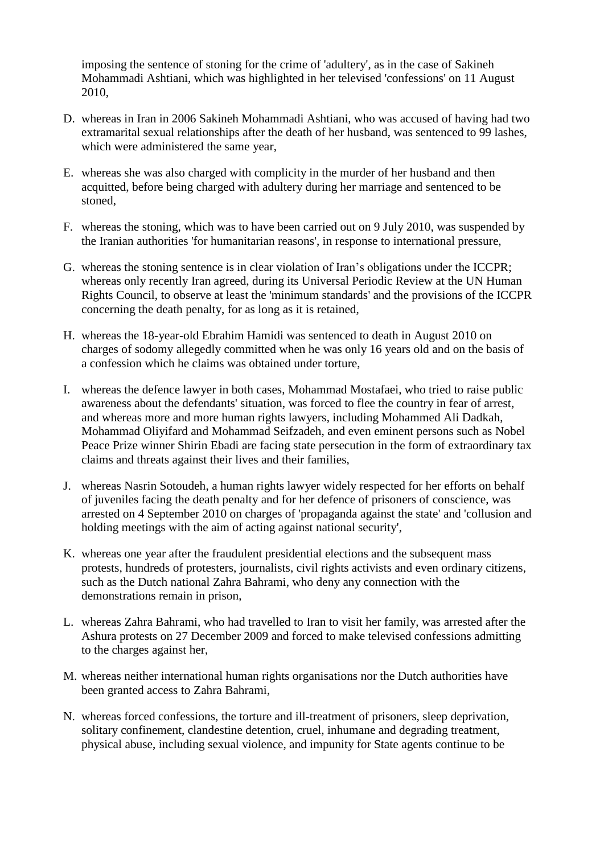imposing the sentence of stoning for the crime of 'adultery', as in the case of Sakineh Mohammadi Ashtiani, which was highlighted in her televised 'confessions' on 11 August 2010,

- D. whereas in Iran in 2006 Sakineh Mohammadi Ashtiani, who was accused of having had two extramarital sexual relationships after the death of her husband, was sentenced to 99 lashes, which were administered the same year,
- E. whereas she was also charged with complicity in the murder of her husband and then acquitted, before being charged with adultery during her marriage and sentenced to be stoned,
- F. whereas the stoning, which was to have been carried out on 9 July 2010, was suspended by the Iranian authorities 'for humanitarian reasons', in response to international pressure,
- G. whereas the stoning sentence is in clear violation of Iran's obligations under the ICCPR; whereas only recently Iran agreed, during its Universal Periodic Review at the UN Human Rights Council, to observe at least the 'minimum standards' and the provisions of the ICCPR concerning the death penalty, for as long as it is retained,
- H. whereas the 18-year-old Ebrahim Hamidi was sentenced to death in August 2010 on charges of sodomy allegedly committed when he was only 16 years old and on the basis of a confession which he claims was obtained under torture,
- I. whereas the defence lawyer in both cases, Mohammad Mostafaei, who tried to raise public awareness about the defendants' situation, was forced to flee the country in fear of arrest, and whereas more and more human rights lawyers, including Mohammed Ali Dadkah, Mohammad Oliyifard and Mohammad Seifzadeh, and even eminent persons such as Nobel Peace Prize winner Shirin Ebadi are facing state persecution in the form of extraordinary tax claims and threats against their lives and their families,
- J. whereas Nasrin Sotoudeh, a human rights lawyer widely respected for her efforts on behalf of juveniles facing the death penalty and for her defence of prisoners of conscience, was arrested on 4 September 2010 on charges of 'propaganda against the state' and 'collusion and holding meetings with the aim of acting against national security',
- K. whereas one year after the fraudulent presidential elections and the subsequent mass protests, hundreds of protesters, journalists, civil rights activists and even ordinary citizens, such as the Dutch national Zahra Bahrami, who deny any connection with the demonstrations remain in prison,
- L. whereas Zahra Bahrami, who had travelled to Iran to visit her family, was arrested after the Ashura protests on 27 December 2009 and forced to make televised confessions admitting to the charges against her,
- M. whereas neither international human rights organisations nor the Dutch authorities have been granted access to Zahra Bahrami,
- N. whereas forced confessions, the torture and ill-treatment of prisoners, sleep deprivation, solitary confinement, clandestine detention, cruel, inhumane and degrading treatment, physical abuse, including sexual violence, and impunity for State agents continue to be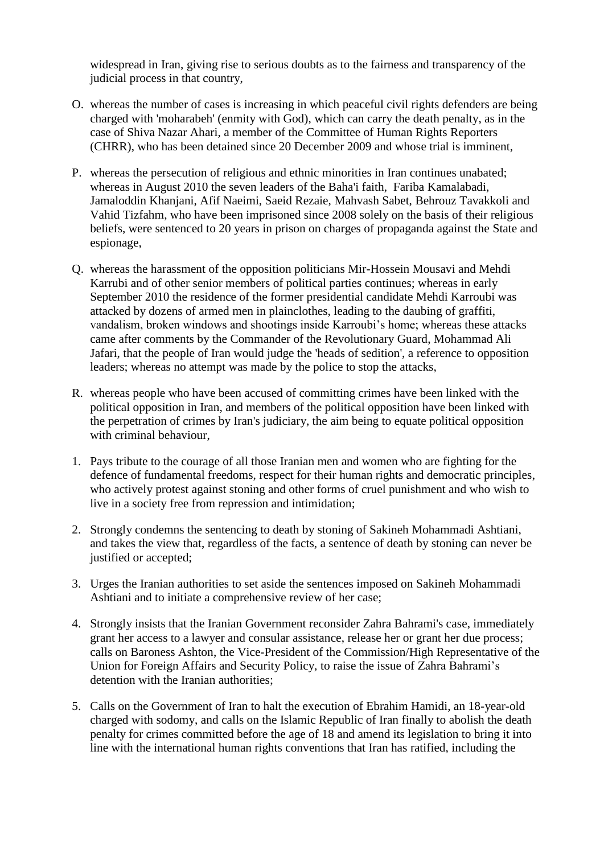widespread in Iran, giving rise to serious doubts as to the fairness and transparency of the judicial process in that country,

- O. whereas the number of cases is increasing in which peaceful civil rights defenders are being charged with 'moharabeh' (enmity with God), which can carry the death penalty, as in the case of Shiva Nazar Ahari, a member of the Committee of Human Rights Reporters (CHRR), who has been detained since 20 December 2009 and whose trial is imminent,
- P. whereas the persecution of religious and ethnic minorities in Iran continues unabated; whereas in August 2010 the seven leaders of the Baha'i faith, Fariba Kamalabadi, Jamaloddin Khanjani, Afif Naeimi, Saeid Rezaie, Mahvash Sabet, Behrouz Tavakkoli and Vahid Tizfahm, who have been imprisoned since 2008 solely on the basis of their religious beliefs, were sentenced to 20 years in prison on charges of propaganda against the State and espionage,
- Q. whereas the harassment of the opposition politicians Mir-Hossein Mousavi and Mehdi Karrubi and of other senior members of political parties continues; whereas in early September 2010 the residence of the former presidential candidate Mehdi Karroubi was attacked by dozens of armed men in plainclothes, leading to the daubing of graffiti, vandalism, broken windows and shootings inside Karroubi's home; whereas these attacks came after comments by the Commander of the Revolutionary Guard, Mohammad Ali Jafari, that the people of Iran would judge the 'heads of sedition', a reference to opposition leaders; whereas no attempt was made by the police to stop the attacks,
- R. whereas people who have been accused of committing crimes have been linked with the political opposition in Iran, and members of the political opposition have been linked with the perpetration of crimes by Iran's judiciary, the aim being to equate political opposition with criminal behaviour,
- 1. Pays tribute to the courage of all those Iranian men and women who are fighting for the defence of fundamental freedoms, respect for their human rights and democratic principles, who actively protest against stoning and other forms of cruel punishment and who wish to live in a society free from repression and intimidation;
- 2. Strongly condemns the sentencing to death by stoning of Sakineh Mohammadi Ashtiani, and takes the view that, regardless of the facts, a sentence of death by stoning can never be justified or accepted;
- 3. Urges the Iranian authorities to set aside the sentences imposed on Sakineh Mohammadi Ashtiani and to initiate a comprehensive review of her case;
- 4. Strongly insists that the Iranian Government reconsider Zahra Bahrami's case, immediately grant her access to a lawyer and consular assistance, release her or grant her due process; calls on Baroness Ashton, the Vice-President of the Commission/High Representative of the Union for Foreign Affairs and Security Policy, to raise the issue of Zahra Bahrami's detention with the Iranian authorities;
- 5. Calls on the Government of Iran to halt the execution of Ebrahim Hamidi, an 18-year-old charged with sodomy, and calls on the Islamic Republic of Iran finally to abolish the death penalty for crimes committed before the age of 18 and amend its legislation to bring it into line with the international human rights conventions that Iran has ratified, including the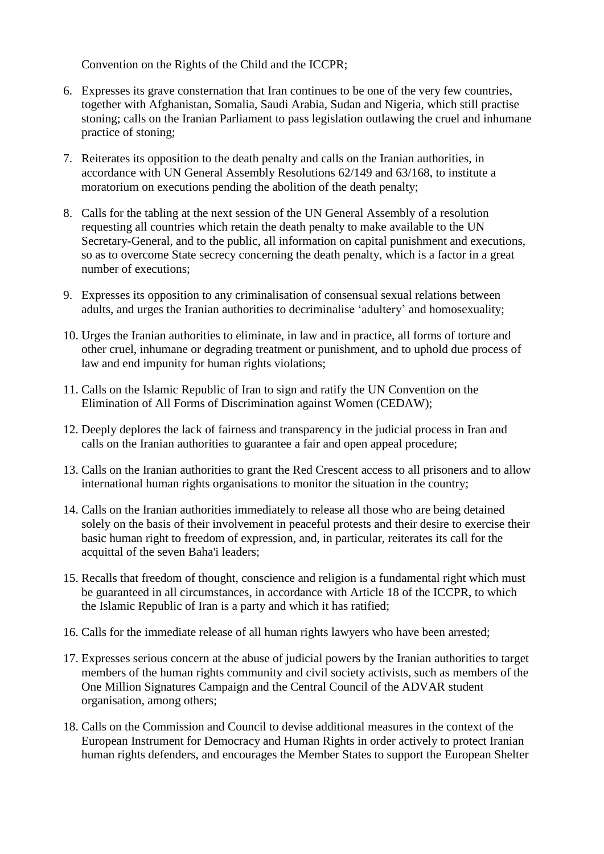Convention on the Rights of the Child and the ICCPR;

- 6. Expresses its grave consternation that Iran continues to be one of the very few countries, together with Afghanistan, Somalia, Saudi Arabia, Sudan and Nigeria, which still practise stoning; calls on the Iranian Parliament to pass legislation outlawing the cruel and inhumane practice of stoning;
- 7. Reiterates its opposition to the death penalty and calls on the Iranian authorities, in accordance with UN General Assembly Resolutions 62/149 and 63/168, to institute a moratorium on executions pending the abolition of the death penalty;
- 8. Calls for the tabling at the next session of the UN General Assembly of a resolution requesting all countries which retain the death penalty to make available to the UN Secretary-General, and to the public, all information on capital punishment and executions, so as to overcome State secrecy concerning the death penalty, which is a factor in a great number of executions;
- 9. Expresses its opposition to any criminalisation of consensual sexual relations between adults, and urges the Iranian authorities to decriminalise 'adultery' and homosexuality;
- 10. Urges the Iranian authorities to eliminate, in law and in practice, all forms of torture and other cruel, inhumane or degrading treatment or punishment, and to uphold due process of law and end impunity for human rights violations;
- 11. Calls on the Islamic Republic of Iran to sign and ratify the UN Convention on the Elimination of All Forms of Discrimination against Women (CEDAW);
- 12. Deeply deplores the lack of fairness and transparency in the judicial process in Iran and calls on the Iranian authorities to guarantee a fair and open appeal procedure;
- 13. Calls on the Iranian authorities to grant the Red Crescent access to all prisoners and to allow international human rights organisations to monitor the situation in the country;
- 14. Calls on the Iranian authorities immediately to release all those who are being detained solely on the basis of their involvement in peaceful protests and their desire to exercise their basic human right to freedom of expression, and, in particular, reiterates its call for the acquittal of the seven Baha'i leaders;
- 15. Recalls that freedom of thought, conscience and religion is a fundamental right which must be guaranteed in all circumstances, in accordance with Article 18 of the ICCPR, to which the Islamic Republic of Iran is a party and which it has ratified;
- 16. Calls for the immediate release of all human rights lawyers who have been arrested;
- 17. Expresses serious concern at the abuse of judicial powers by the Iranian authorities to target members of the human rights community and civil society activists, such as members of the One Million Signatures Campaign and the Central Council of the ADVAR student organisation, among others;
- 18. Calls on the Commission and Council to devise additional measures in the context of the European Instrument for Democracy and Human Rights in order actively to protect Iranian human rights defenders, and encourages the Member States to support the European Shelter